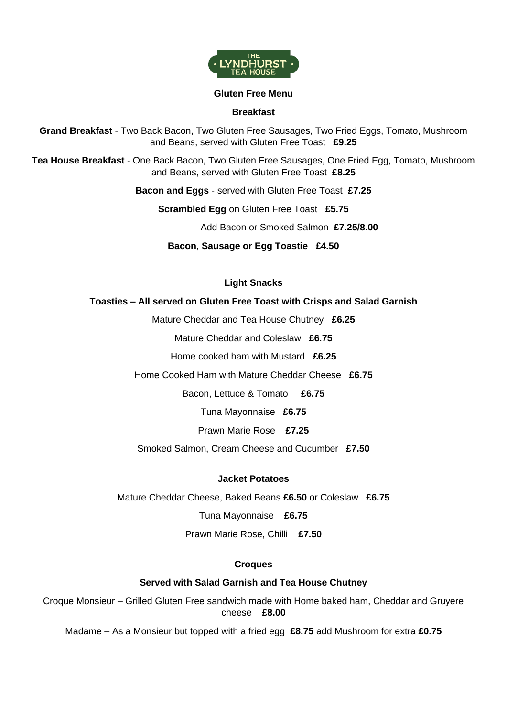

#### **Gluten Free Menu**

## **Breakfast**

**Grand Breakfast** - Two Back Bacon, Two Gluten Free Sausages, Two Fried Eggs, Tomato, Mushroom and Beans, served with Gluten Free Toast **£9.25**

**Tea House Breakfast** - One Back Bacon, Two Gluten Free Sausages, One Fried Egg, Tomato, Mushroom and Beans, served with Gluten Free Toast **£8.25**

**Bacon and Eggs** - served with Gluten Free Toast **£7.25**

**Scrambled Egg** on Gluten Free Toast **£5.75**

– Add Bacon or Smoked Salmon **£7.25/8.00**

**Bacon, Sausage or Egg Toastie £4.50**

## **Light Snacks**

## **Toasties – All served on Gluten Free Toast with Crisps and Salad Garnish**

Mature Cheddar and Tea House Chutney **£6.25**

Mature Cheddar and Coleslaw **£6.75**

Home cooked ham with Mustard **£6.25**

Home Cooked Ham with Mature Cheddar Cheese **£6.75**

Bacon, Lettuce & Tomato **£6.75**

Tuna Mayonnaise **£6.75**

Prawn Marie Rose **£7.25**

Smoked Salmon, Cream Cheese and Cucumber **£7.50**

## **Jacket Potatoes**

Mature Cheddar Cheese, Baked Beans **£6.50** or Coleslaw **£6.75**

Tuna Mayonnaise **£6.75**

Prawn Marie Rose, Chilli **£7.50**

## **Croques**

# **Served with Salad Garnish and Tea House Chutney**

Croque Monsieur – Grilled Gluten Free sandwich made with Home baked ham, Cheddar and Gruyere cheese **£8.00**

Madame – As a Monsieur but topped with a fried egg **£8.75** add Mushroom for extra **£0.75**